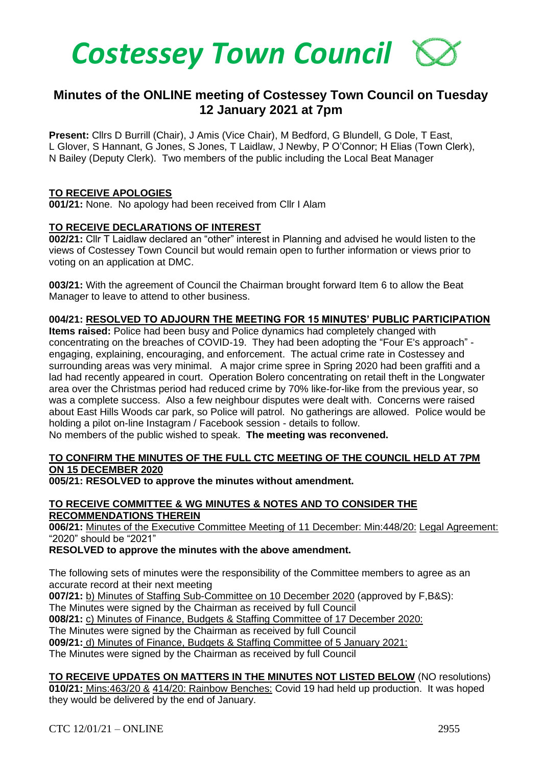

# **Minutes of the ONLINE meeting of Costessey Town Council on Tuesday 12 January 2021 at 7pm**

**Present:** Cllrs D Burrill (Chair), J Amis (Vice Chair), M Bedford, G Blundell, G Dole, T East, L Glover, S Hannant, G Jones, S Jones, T Laidlaw, J Newby, P O'Connor; H Elias (Town Clerk), N Bailey (Deputy Clerk). Two members of the public including the Local Beat Manager

### **TO RECEIVE APOLOGIES**

**001/21:** None. No apology had been received from Cllr I Alam

### **TO RECEIVE DECLARATIONS OF INTEREST**

**002/21:** Cllr T Laidlaw declared an "other" interest in Planning and advised he would listen to the views of Costessey Town Council but would remain open to further information or views prior to voting on an application at DMC.

**003/21:** With the agreement of Council the Chairman brought forward Item 6 to allow the Beat Manager to leave to attend to other business.

### **004/21: RESOLVED TO ADJOURN THE MEETING FOR 15 MINUTES' PUBLIC PARTICIPATION**

**Items raised:** Police had been busy and Police dynamics had completely changed with concentrating on the breaches of COVID-19. They had been adopting the "Four E's approach" engaging, explaining, encouraging, and enforcement. The actual crime rate in Costessey and surrounding areas was very minimal. A major crime spree in Spring 2020 had been graffiti and a lad had recently appeared in court. Operation Bolero concentrating on retail theft in the Longwater area over the Christmas period had reduced crime by 70% like-for-like from the previous year, so was a complete success. Also a few neighbour disputes were dealt with. Concerns were raised about East Hills Woods car park, so Police will patrol. No gatherings are allowed. Police would be holding a pilot on-line Instagram / Facebook session - details to follow.

No members of the public wished to speak. **The meeting was reconvened.**

## **TO CONFIRM THE MINUTES OF THE FULL CTC MEETING OF THE COUNCIL HELD AT 7PM ON 15 DECEMBER 2020**

**005/21: RESOLVED to approve the minutes without amendment.** 

### **TO RECEIVE COMMITTEE & WG MINUTES & NOTES AND TO CONSIDER THE RECOMMENDATIONS THEREIN**

**006/21:** Minutes of the Executive Committee Meeting of 11 December: Min:448/20: Legal Agreement: "2020" should be "2021"

**RESOLVED to approve the minutes with the above amendment.** 

The following sets of minutes were the responsibility of the Committee members to agree as an accurate record at their next meeting

**007/21:** b) Minutes of Staffing Sub-Committee on 10 December 2020 (approved by F,B&S):

The Minutes were signed by the Chairman as received by full Council

**008/21:** c) Minutes of Finance, Budgets & Staffing Committee of 17 December 2020:

The Minutes were signed by the Chairman as received by full Council

**009/21:** d) Minutes of Finance, Budgets & Staffing Committee of 5 January 2021:

The Minutes were signed by the Chairman as received by full Council

## **TO RECEIVE UPDATES ON MATTERS IN THE MINUTES NOT LISTED BELOW** (NO resolutions) **010/21:** Mins:463/20 & 414/20: Rainbow Benches: Covid 19 had held up production. It was hoped they would be delivered by the end of January.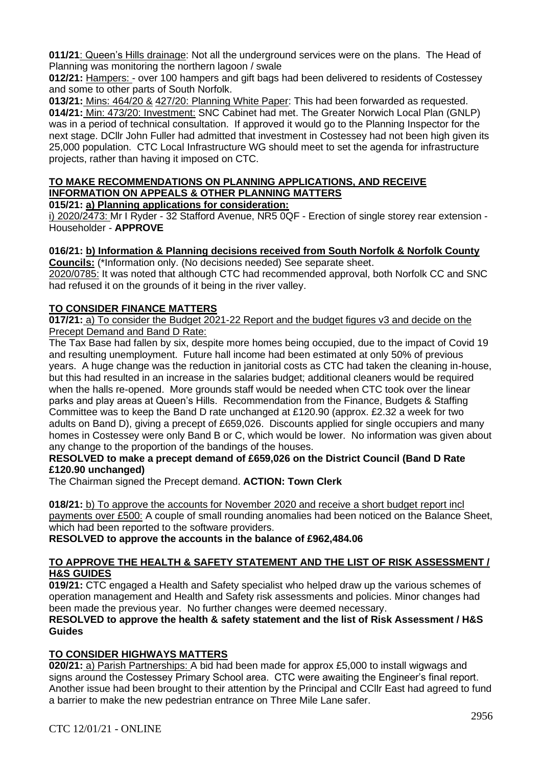**011/21**: Queen's Hills drainage: Not all the underground services were on the plans. The Head of Planning was monitoring the northern lagoon / swale

**012/21:** Hampers: - over 100 hampers and gift bags had been delivered to residents of Costessey and some to other parts of South Norfolk.

**013/21:** Mins: 464/20 & 427/20: Planning White Paper: This had been forwarded as requested. **014/21:** Min: 473/20: Investment: SNC Cabinet had met. The Greater Norwich Local Plan (GNLP) was in a period of technical consultation. If approved it would go to the Planning Inspector for the next stage. DCllr John Fuller had admitted that investment in Costessey had not been high given its 25,000 population. CTC Local Infrastructure WG should meet to set the agenda for infrastructure projects, rather than having it imposed on CTC.

# **TO MAKE RECOMMENDATIONS ON PLANNING APPLICATIONS, AND RECEIVE INFORMATION ON APPEALS & OTHER PLANNING MATTERS**

**015/21: a) Planning applications for consideration:**

i) 2020/2473: Mr I Ryder - 32 Stafford Avenue, NR5 0QF - Erection of single storey rear extension - Householder - **APPROVE**

# **016/21: b) Information & Planning decisions received from South Norfolk & Norfolk County**

**Councils:** (\*Information only. (No decisions needed) See separate sheet. 2020/0785: It was noted that although CTC had recommended approval, both Norfolk CC and SNC had refused it on the grounds of it being in the river valley.

# **TO CONSIDER FINANCE MATTERS**

**017/21:** a) To consider the Budget 2021-22 Report and the budget figures v3 and decide on the Precept Demand and Band D Rate:

The Tax Base had fallen by six, despite more homes being occupied, due to the impact of Covid 19 and resulting unemployment. Future hall income had been estimated at only 50% of previous years. A huge change was the reduction in janitorial costs as CTC had taken the cleaning in-house, but this had resulted in an increase in the salaries budget; additional cleaners would be required when the halls re-opened. More grounds staff would be needed when CTC took over the linear parks and play areas at Queen's Hills. Recommendation from the Finance, Budgets & Staffing Committee was to keep the Band D rate unchanged at £120.90 (approx. £2.32 a week for two adults on Band D), giving a precept of £659,026. Discounts applied for single occupiers and many homes in Costessey were only Band B or C, which would be lower. No information was given about any change to the proportion of the bandings of the houses.

# **RESOLVED to make a precept demand of £659,026 on the District Council (Band D Rate £120.90 unchanged)**

The Chairman signed the Precept demand. **ACTION: Town Clerk**

**018/21:** b) To approve the accounts for November 2020 and receive a short budget report incl payments over £500: A couple of small rounding anomalies had been noticed on the Balance Sheet, which had been reported to the software providers.

**RESOLVED to approve the accounts in the balance of £962,484.06**

# **TO APPROVE THE HEALTH & SAFETY STATEMENT AND THE LIST OF RISK ASSESSMENT / H&S GUIDES**

**019/21:** CTC engaged a Health and Safety specialist who helped draw up the various schemes of operation management and Health and Safety risk assessments and policies. Minor changes had been made the previous year. No further changes were deemed necessary.

# **RESOLVED to approve the health & safety statement and the list of Risk Assessment / H&S Guides**

# **TO CONSIDER HIGHWAYS MATTERS**

**020/21:** a) Parish Partnerships: A bid had been made for approx £5,000 to install wigwags and signs around the Costessey Primary School area. CTC were awaiting the Engineer's final report. Another issue had been brought to their attention by the Principal and CCllr East had agreed to fund a barrier to make the new pedestrian entrance on Three Mile Lane safer.